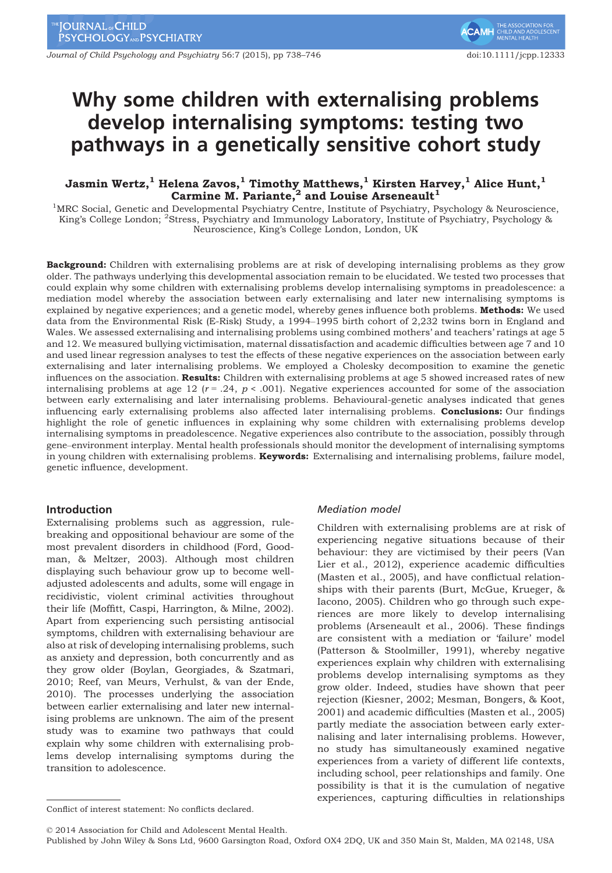Journal of Child Psychology and Psychiatry 56:7 (2015), pp 738–746 doi:10.1111/jcpp.123333

# Why some children with externalising problems develop internalising symptoms: testing two pathways in a genetically sensitive cohort study

# Jasmin Wertz, $^1$  Helena Zavos, $^1$  Timothy Matthews, $^1$  Kirsten Harvey, $^1$  Alice Hunt, $^1$ Carmine M. Pariante, $^2$  and Louise Arseneault<sup>1</sup>

<sup>1</sup>MRC Social, Genetic and Developmental Psychiatry Centre, Institute of Psychiatry, Psychology & Neuroscience, King's College London; <sup>2</sup>Stress, Psychiatry and Immunology Laboratory, Institute of Psychiatry, Psychology & Neuroscience, King's College London, London, UK

Background: Children with externalising problems are at risk of developing internalising problems as they grow older. The pathways underlying this developmental association remain to be elucidated. We tested two processes that could explain why some children with externalising problems develop internalising symptoms in preadolescence: a mediation model whereby the association between early externalising and later new internalising symptoms is explained by negative experiences; and a genetic model, whereby genes influence both problems. Methods: We used data from the Environmental Risk (E-Risk) Study, a 1994–1995 birth cohort of 2,232 twins born in England and Wales. We assessed externalising and internalising problems using combined mothers' and teachers' ratings at age 5 and 12. We measured bullying victimisation, maternal dissatisfaction and academic difficulties between age 7 and 10 and used linear regression analyses to test the effects of these negative experiences on the association between early externalising and later internalising problems. We employed a Cholesky decomposition to examine the genetic influences on the association. Results: Children with externalising problems at age 5 showed increased rates of new internalising problems at age 12 ( $r = .24$ ,  $p < .001$ ). Negative experiences accounted for some of the association between early externalising and later internalising problems. Behavioural-genetic analyses indicated that genes influencing early externalising problems also affected later internalising problems. Conclusions: Our findings highlight the role of genetic influences in explaining why some children with externalising problems develop internalising symptoms in preadolescence. Negative experiences also contribute to the association, possibly through gene–environment interplay. Mental health professionals should monitor the development of internalising symptoms in young children with externalising problems. Keywords: Externalising and internalising problems, failure model, genetic influence, development.

## Introduction

Externalising problems such as aggression, rulebreaking and oppositional behaviour are some of the most prevalent disorders in childhood (Ford, Goodman, & Meltzer, 2003). Although most children displaying such behaviour grow up to become welladjusted adolescents and adults, some will engage in recidivistic, violent criminal activities throughout their life (Moffitt, Caspi, Harrington, & Milne, 2002). Apart from experiencing such persisting antisocial symptoms, children with externalising behaviour are also at risk of developing internalising problems, such as anxiety and depression, both concurrently and as they grow older (Boylan, Georgiades, & Szatmari, 2010; Reef, van Meurs, Verhulst, & van der Ende, 2010). The processes underlying the association between earlier externalising and later new internalising problems are unknown. The aim of the present study was to examine two pathways that could explain why some children with externalising problems develop internalising symptoms during the transition to adolescence.

### Mediation model

Children with externalising problems are at risk of experiencing negative situations because of their behaviour: they are victimised by their peers (Van Lier et al., 2012), experience academic difficulties (Masten et al., 2005), and have conflictual relationships with their parents (Burt, McGue, Krueger, & Iacono, 2005). Children who go through such experiences are more likely to develop internalising problems (Arseneault et al., 2006). These findings are consistent with a mediation or 'failure' model (Patterson & Stoolmiller, 1991), whereby negative experiences explain why children with externalising problems develop internalising symptoms as they grow older. Indeed, studies have shown that peer rejection (Kiesner, 2002; Mesman, Bongers, & Koot, 2001) and academic difficulties (Masten et al., 2005) partly mediate the association between early externalising and later internalising problems. However, no study has simultaneously examined negative experiences from a variety of different life contexts, including school, peer relationships and family. One possibility is that it is the cumulation of negative experiences, capturing difficulties in relationships

© 2014 Association for Child and Adolescent Mental Health.

Conflict of interest statement: No conflicts declared.

Published by John Wiley & Sons Ltd, 9600 Garsington Road, Oxford OX4 2DQ, UK and 350 Main St, Malden, MA 02148, USA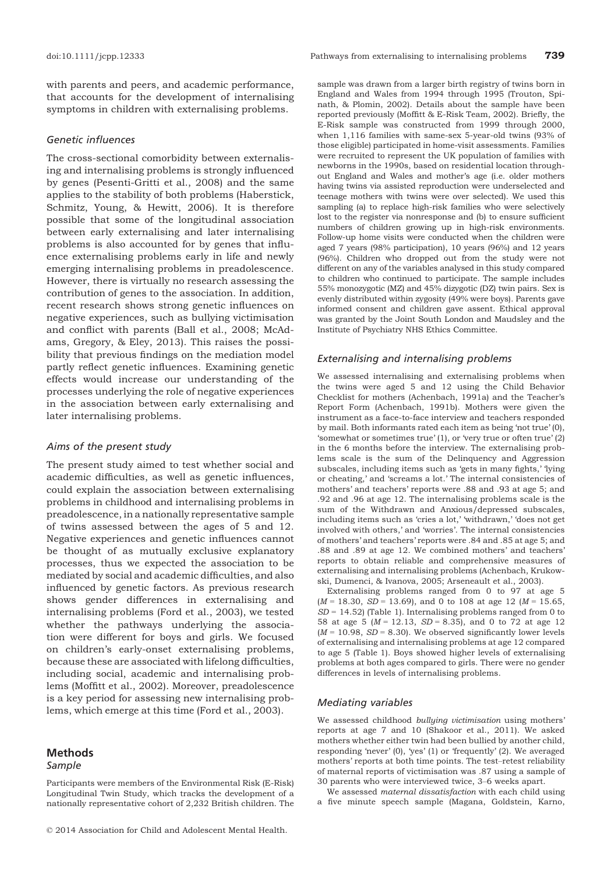with parents and peers, and academic performance, that accounts for the development of internalising symptoms in children with externalising problems.

#### Genetic influences

The cross-sectional comorbidity between externalising and internalising problems is strongly influenced by genes (Pesenti-Gritti et al., 2008) and the same applies to the stability of both problems (Haberstick, Schmitz, Young, & Hewitt, 2006). It is therefore possible that some of the longitudinal association between early externalising and later internalising problems is also accounted for by genes that influence externalising problems early in life and newly emerging internalising problems in preadolescence. However, there is virtually no research assessing the contribution of genes to the association. In addition, recent research shows strong genetic influences on negative experiences, such as bullying victimisation and conflict with parents (Ball et al., 2008; McAdams, Gregory, & Eley, 2013). This raises the possibility that previous findings on the mediation model partly reflect genetic influences. Examining genetic effects would increase our understanding of the processes underlying the role of negative experiences in the association between early externalising and later internalising problems.

#### Aims of the present study

The present study aimed to test whether social and academic difficulties, as well as genetic influences, could explain the association between externalising problems in childhood and internalising problems in preadolescence, in a nationally representative sample of twins assessed between the ages of 5 and 12. Negative experiences and genetic influences cannot be thought of as mutually exclusive explanatory processes, thus we expected the association to be mediated by social and academic difficulties, and also influenced by genetic factors. As previous research shows gender differences in externalising and internalising problems (Ford et al., 2003), we tested whether the pathways underlying the association were different for boys and girls. We focused on children's early-onset externalising problems, because these are associated with lifelong difficulties, including social, academic and internalising problems (Moffitt et al., 2002). Moreover, preadolescence is a key period for assessing new internalising problems, which emerge at this time (Ford et al., 2003).

# Methods

#### Sample

sample was drawn from a larger birth registry of twins born in England and Wales from 1994 through 1995 (Trouton, Spinath, & Plomin, 2002). Details about the sample have been reported previously (Moffitt & E-Risk Team, 2002). Briefly, the E-Risk sample was constructed from 1999 through 2000, when 1,116 families with same-sex 5-year-old twins (93% of those eligible) participated in home-visit assessments. Families were recruited to represent the UK population of families with newborns in the 1990s, based on residential location throughout England and Wales and mother's age (i.e. older mothers having twins via assisted reproduction were underselected and teenage mothers with twins were over selected). We used this sampling (a) to replace high-risk families who were selectively lost to the register via nonresponse and (b) to ensure sufficient numbers of children growing up in high-risk environments. Follow-up home visits were conducted when the children were aged 7 years (98% participation), 10 years (96%) and 12 years (96%). Children who dropped out from the study were not different on any of the variables analysed in this study compared to children who continued to participate. The sample includes 55% monozygotic (MZ) and 45% dizygotic (DZ) twin pairs. Sex is evenly distributed within zygosity (49% were boys). Parents gave informed consent and children gave assent. Ethical approval was granted by the Joint South London and Maudsley and the Institute of Psychiatry NHS Ethics Committee.

# Externalising and internalising problems

We assessed internalising and externalising problems when the twins were aged 5 and 12 using the Child Behavior Checklist for mothers (Achenbach, 1991a) and the Teacher's Report Form (Achenbach, 1991b). Mothers were given the instrument as a face-to-face interview and teachers responded by mail. Both informants rated each item as being 'not true' (0), 'somewhat or sometimes true' (1), or 'very true or often true' (2) in the 6 months before the interview. The externalising problems scale is the sum of the Delinquency and Aggression subscales, including items such as 'gets in many fights,' 'lying or cheating,' and 'screams a lot.' The internal consistencies of mothers' and teachers' reports were .88 and .93 at age 5; and .92 and .96 at age 12. The internalising problems scale is the sum of the Withdrawn and Anxious/depressed subscales, including items such as 'cries a lot,' 'withdrawn,' 'does not get involved with others,' and 'worries'. The internal consistencies of mothers' and teachers' reports were .84 and .85 at age 5; and .88 and .89 at age 12. We combined mothers' and teachers' reports to obtain reliable and comprehensive measures of externalising and internalising problems (Achenbach, Krukowski, Dumenci, & Ivanova, 2005; Arseneault et al., 2003).

Externalising problems ranged from 0 to 97 at age 5  $(M = 18.30, SD = 13.69)$ , and 0 to 108 at age 12  $(M = 15.65,$  $SD = 14.52$ ) (Table 1). Internalising problems ranged from 0 to 58 at age 5 ( $M = 12.13$ ,  $SD = 8.35$ ), and 0 to 72 at age 12  $(M = 10.98, SD = 8.30)$ . We observed significantly lower levels of externalising and internalising problems at age 12 compared to age 5 (Table 1). Boys showed higher levels of externalising problems at both ages compared to girls. There were no gender differences in levels of internalising problems.

#### Mediating variables

We assessed childhood bullying victimisation using mothers' reports at age 7 and 10 (Shakoor et al., 2011). We asked mothers whether either twin had been bullied by another child, responding 'never' (0), 'yes' (1) or 'frequently' (2). We averaged mothers' reports at both time points. The test–retest reliability of maternal reports of victimisation was .87 using a sample of 30 parents who were interviewed twice, 3–6 weeks apart.

Participants were members of the Environmental Risk (E-Risk) Longitudinal Twin Study, which tracks the development of a nationally representative cohort of 2,232 British children. The

We assessed maternal dissatisfaction with each child using a five minute speech sample (Magana, Goldstein, Karno,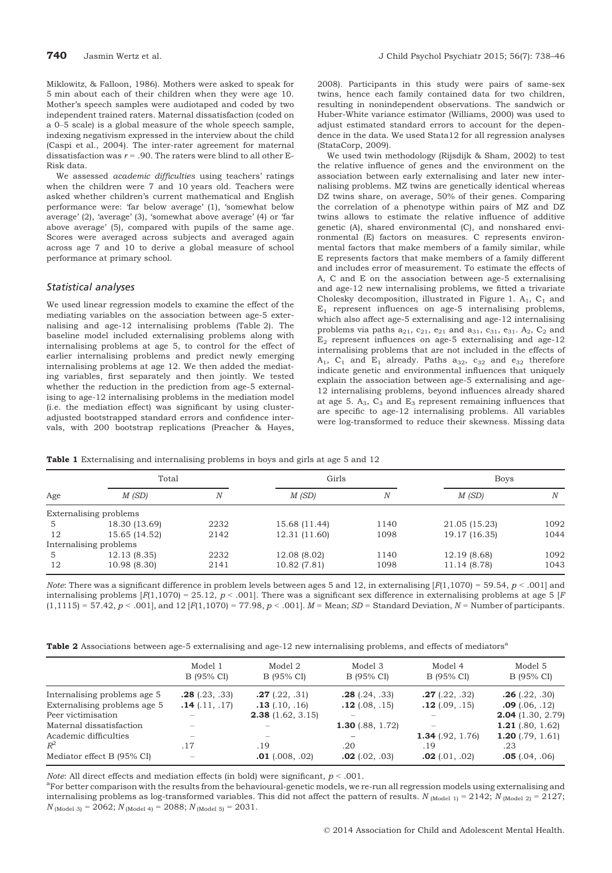Miklowitz, & Falloon, 1986). Mothers were asked to speak for 5 min about each of their children when they were age 10. Mother's speech samples were audiotaped and coded by two independent trained raters. Maternal dissatisfaction (coded on a 0–5 scale) is a global measure of the whole speech sample, indexing negativism expressed in the interview about the child (Caspi et al., 2004). The inter-rater agreement for maternal dissatisfaction was  $r = .90$ . The raters were blind to all other E-Risk data.

We assessed academic difficulties using teachers' ratings when the children were 7 and 10 years old. Teachers were asked whether children's current mathematical and English performance were: 'far below average' (1), 'somewhat below average' (2), 'average' (3), 'somewhat above average' (4) or 'far above average' (5), compared with pupils of the same age. Scores were averaged across subjects and averaged again across age 7 and 10 to derive a global measure of school performance at primary school.

#### Statistical analyses

We used linear regression models to examine the effect of the mediating variables on the association between age-5 externalising and age-12 internalising problems (Table 2). The baseline model included externalising problems along with internalising problems at age 5, to control for the effect of earlier internalising problems and predict newly emerging internalising problems at age 12. We then added the mediating variables, first separately and then jointly. We tested whether the reduction in the prediction from age-5 externalising to age-12 internalising problems in the mediation model (i.e. the mediation effect) was significant by using clusteradjusted bootstrapped standard errors and confidence intervals, with 200 bootstrap replications (Preacher & Hayes,

2008). Participants in this study were pairs of same-sex twins, hence each family contained data for two children, resulting in nonindependent observations. The sandwich or Huber-White variance estimator (Williams, 2000) was used to adjust estimated standard errors to account for the dependence in the data. We used Stata12 for all regression analyses (StataCorp, 2009).

We used twin methodology (Rijsdijk & Sham, 2002) to test the relative influence of genes and the environment on the association between early externalising and later new internalising problems. MZ twins are genetically identical whereas DZ twins share, on average, 50% of their genes. Comparing the correlation of a phenotype within pairs of MZ and DZ twins allows to estimate the relative influence of additive genetic (A), shared environmental (C), and nonshared environmental (E) factors on measures. C represents environmental factors that make members of a family similar, while E represents factors that make members of a family different and includes error of measurement. To estimate the effects of A, C and E on the association between age-5 externalising and age-12 new internalising problems, we fitted a trivariate Cholesky decomposition, illustrated in Figure 1.  $A_1$ ,  $C_1$  and  $E_1$  represent influences on age-5 internalising problems, which also affect age-5 externalising and age-12 internalising problems via paths  $a_{21}$ ,  $c_{21}$ ,  $e_{21}$  and  $a_{31}$ ,  $c_{31}$ ,  $e_{31}$ .  $A_2$ ,  $C_2$  and  $E_2$  represent influences on age-5 externalising and age-12 internalising problems that are not included in the effects of  $A_1$ ,  $C_1$  and  $E_1$  already. Paths  $a_{32}$ ,  $c_{32}$  and  $e_{32}$  therefore indicate genetic and environmental influences that uniquely explain the association between age-5 externalising and age-12 internalising problems, beyond influences already shared at age 5.  $A_3$ ,  $C_3$  and  $E_3$  represent remaining influences that are specific to age-12 internalising problems. All variables were log-transformed to reduce their skewness. Missing data

Table 1 Externalising and internalising problems in boys and girls at age 5 and 12

| Age | Total                  |      | Girls         |      | <b>Boys</b>   |      |
|-----|------------------------|------|---------------|------|---------------|------|
|     | M(SD)                  | N    | M(SD)         | N    | M(SD)         | Ν    |
|     | Externalising problems |      |               |      |               |      |
| 5   | 18.30 (13.69)          | 2232 | 15.68 (11.44) | 1140 | 21.05 (15.23) | 1092 |
| 12  | 15.65 (14.52)          | 2142 | 12.31 (11.60) | 1098 | 19.17 (16.35) | 1044 |
|     | Internalising problems |      |               |      |               |      |
| 5   | 12.13(8.35)            | 2232 | 12.08 (8.02)  | 1140 | 12.19 (8.68)  | 1092 |
| 12  | 10.98 (8.30)           | 2141 | 10.82 (7.81)  | 1098 | 11.14 (8.78)  | 1043 |

*Note*: There was a significant difference in problem levels between ages 5 and 12, in externalising  $[F(1,1070) = 59.54, p < .001]$  and internalising problems  $[F(1,1070) = 25.12, p < .001]$ . There was a significant sex difference in externalising problems at age 5 [F  $(1,1115) = 57.42, p < .001$ , and  $(12 |F(1,1070) = 77.98, p < .001]$ .  $M =$  Mean;  $SD =$  Standard Deviation,  $N =$  Number of participants.

Table 2 Associations between age-5 externalising and age-12 new internalising problems, and effects of mediators<sup>a</sup>

|                              | Model 1<br>B (95% CI)    | Model 2<br>B (95% CI) | Model 3<br>B (95% CI)   | Model 4<br>B (95% CI) | Model 5<br>B (95% CI) |
|------------------------------|--------------------------|-----------------------|-------------------------|-----------------------|-----------------------|
| Internalising problems age 5 | $.28$ (.23, .33)         | $.27$ (.22, .31)      | $.28$ (.24, .33)        | $.27$ (.22, .32)      | $.26$ (.22, .30)      |
| Externalising problems age 5 | $.14$ (.11, .17)         | $.13$ (.10, .16)      | $.12$ (.08, .15)        | $.12$ (.09, .15)      | $.09$ (.06, .12)      |
| Peer victimisation           |                          | 2.38(1.62, 3.15)      |                         |                       | $2.04$ (1.30, 2.79)   |
| Maternal dissatisfaction     |                          |                       | <b>1.30</b> (.88, 1.72) |                       | 1.21 $(.80, 1.62)$    |
| Academic difficulties        |                          |                       |                         | 1.34 $(.92, 1.76)$    | 1.20 $(.79, 1.61)$    |
| $R^2$                        | .17                      | .19                   | .20                     | . 19                  | .23                   |
| Mediator effect B (95% CI)   | $\overline{\phantom{a}}$ | $.01$ (.008, .02)     | $.02$ (.02, .03)        | $.02$ (.01, .02)      | $.05$ (.04, .06)      |

Note: All direct effects and mediation effects (in bold) were significant,  $p < .001$ .

<sup>a</sup>For better comparison with the results from the behavioural-genetic models, we re-run all regression models using externalising and internalising problems as log-transformed variables. This did not affect the pattern of results.  $N_{(Model 1)} = 2142$ ;  $N_{(Model 2)} = 2127$ ;  $N_{(Model 3)} = 2062; N_{(Model 4)} = 2088; N_{(Model 5)} = 2031.$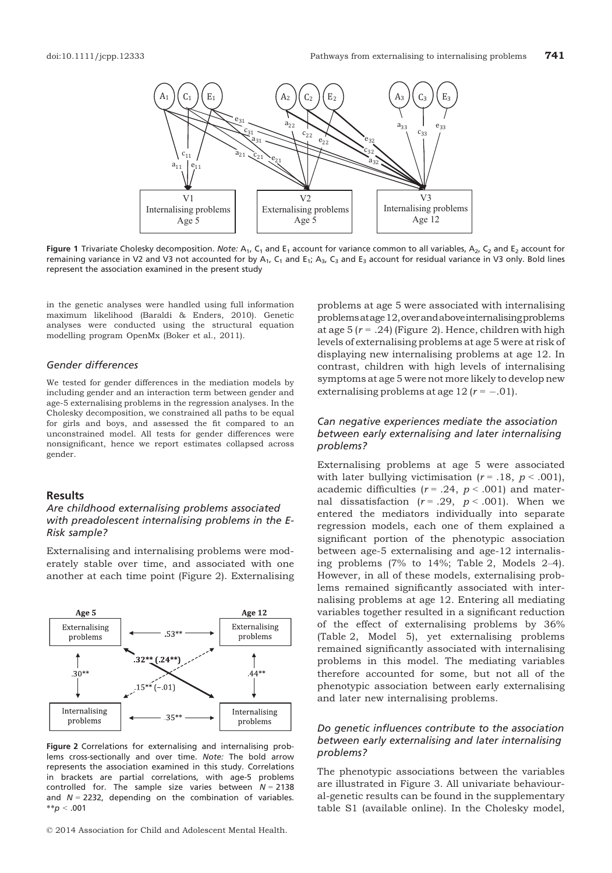

Figure 1 Trivariate Cholesky decomposition. Note:  $A_1$ ,  $C_1$  and  $E_1$  account for variance common to all variables,  $A_2$ ,  $C_2$  and  $E_2$  account for remaining variance in V2 and V3 not accounted for by  $A_1$ ,  $C_1$  and  $E_1$ ;  $A_3$ ,  $C_3$  and  $E_3$  account for residual variance in V3 only. Bold lines represent the association examined in the present study

in the genetic analyses were handled using full information maximum likelihood (Baraldi & Enders, 2010). Genetic analyses were conducted using the structural equation modelling program OpenMx (Boker et al., 2011).

# Gender differences

We tested for gender differences in the mediation models by including gender and an interaction term between gender and age-5 externalising problems in the regression analyses. In the Cholesky decomposition, we constrained all paths to be equal for girls and boys, and assessed the fit compared to an unconstrained model. All tests for gender differences were nonsignificant, hence we report estimates collapsed across gender.

# Results

# Are childhood externalising problems associated with preadolescent internalising problems in the E-Risk sample?

Externalising and internalising problems were moderately stable over time, and associated with one another at each time point (Figure 2). Externalising



Figure 2 Correlations for externalising and internalising problems cross-sectionally and over time. Note: The bold arrow represents the association examined in this study. Correlations in brackets are partial correlations, with age-5 problems controlled for. The sample size varies between  $N = 2138$ and  $N = 2232$ , depending on the combination of variables.  $*^{*}p < .001$ 

© 2014 Association for Child and Adolescent Mental Health.

problems at age 5 were associated with internalising problemsatage12,overandaboveinternalisingproblems at age 5 ( $r = .24$ ) (Figure 2). Hence, children with high levels of externalising problems at age 5 were at risk of displaying new internalising problems at age 12. In contrast, children with high levels of internalising symptoms at age 5 were not more likely to develop new externalising problems at age 12 ( $r = -.01$ ).

# Can negative experiences mediate the association between early externalising and later internalising problems?

Externalising problems at age 5 were associated with later bullying victimisation ( $r = .18$ ,  $p < .001$ ), academic difficulties ( $r = .24$ ,  $p < .001$ ) and maternal dissatisfaction ( $r = .29$ ,  $p < .001$ ). When we entered the mediators individually into separate regression models, each one of them explained a significant portion of the phenotypic association between age-5 externalising and age-12 internalising problems (7% to 14%; Table 2, Models 2–4). However, in all of these models, externalising problems remained significantly associated with internalising problems at age 12. Entering all mediating variables together resulted in a significant reduction of the effect of externalising problems by 36% (Table 2, Model 5), yet externalising problems remained significantly associated with internalising problems in this model. The mediating variables therefore accounted for some, but not all of the phenotypic association between early externalising and later new internalising problems.

# Do genetic influences contribute to the association between early externalising and later internalising problems?

The phenotypic associations between the variables are illustrated in Figure 3. All univariate behavioural-genetic results can be found in the supplementary table S1 (available online). In the Cholesky model,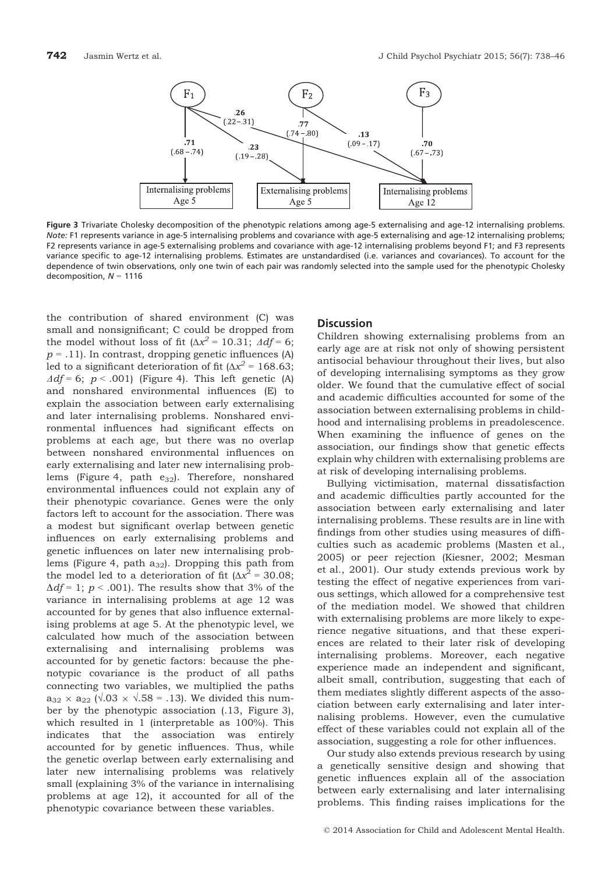

Figure 3 Trivariate Cholesky decomposition of the phenotypic relations among age-5 externalising and age-12 internalising problems. Note: F1 represents variance in age-5 internalising problems and covariance with age-5 externalising and age-12 internalising problems; F2 represents variance in age-5 externalising problems and covariance with age-12 internalising problems beyond F1; and F3 represents variance specific to age-12 internalising problems. Estimates are unstandardised (i.e. variances and covariances). To account for the dependence of twin observations, only one twin of each pair was randomly selected into the sample used for the phenotypic Cholesky decomposition,  $N = 1116$ 

the contribution of shared environment (C) was small and nonsignificant; C could be dropped from the model without loss of fit ( $\Delta x^2$  = 10.31;  $\Delta df = 6$ ;  $p = .11$ ). In contrast, dropping genetic influences (A) led to a significant deterioration of fit ( $\Delta x^2$  = 168.63;  $\Delta df = 6$ ;  $p < .001$ ) (Figure 4). This left genetic (A) and nonshared environmental influences (E) to explain the association between early externalising and later internalising problems. Nonshared environmental influences had significant effects on problems at each age, but there was no overlap between nonshared environmental influences on early externalising and later new internalising problems (Figure 4, path  $e_{32}$ ). Therefore, nonshared environmental influences could not explain any of their phenotypic covariance. Genes were the only factors left to account for the association. There was a modest but significant overlap between genetic influences on early externalising problems and genetic influences on later new internalising problems (Figure 4, path  $a_{32}$ ). Dropping this path from the model led to a deterioration of fit ( $\Delta x^2$  = 30.08;  $\Delta df = 1$ ;  $p < .001$ ). The results show that 3% of the variance in internalising problems at age 12 was accounted for by genes that also influence externalising problems at age 5. At the phenotypic level, we calculated how much of the association between externalising and internalising problems was accounted for by genetic factors: because the phenotypic covariance is the product of all paths connecting two variables, we multiplied the paths  $a_{32} \times a_{22}$  ( $\sqrt{0.03} \times \sqrt{0.58} = 0.13$ ). We divided this number by the phenotypic association (.13, Figure 3), which resulted in 1 (interpretable as 100%). This indicates that the association was entirely accounted for by genetic influences. Thus, while the genetic overlap between early externalising and later new internalising problems was relatively small (explaining 3% of the variance in internalising problems at age 12), it accounted for all of the phenotypic covariance between these variables.

#### **Discussion**

Children showing externalising problems from an early age are at risk not only of showing persistent antisocial behaviour throughout their lives, but also of developing internalising symptoms as they grow older. We found that the cumulative effect of social and academic difficulties accounted for some of the association between externalising problems in childhood and internalising problems in preadolescence. When examining the influence of genes on the association, our findings show that genetic effects explain why children with externalising problems are at risk of developing internalising problems.

Bullying victimisation, maternal dissatisfaction and academic difficulties partly accounted for the association between early externalising and later internalising problems. These results are in line with findings from other studies using measures of difficulties such as academic problems (Masten et al., 2005) or peer rejection (Kiesner, 2002; Mesman et al., 2001). Our study extends previous work by testing the effect of negative experiences from various settings, which allowed for a comprehensive test of the mediation model. We showed that children with externalising problems are more likely to experience negative situations, and that these experiences are related to their later risk of developing internalising problems. Moreover, each negative experience made an independent and significant, albeit small, contribution, suggesting that each of them mediates slightly different aspects of the association between early externalising and later internalising problems. However, even the cumulative effect of these variables could not explain all of the association, suggesting a role for other influences.

Our study also extends previous research by using a genetically sensitive design and showing that genetic influences explain all of the association between early externalising and later internalising problems. This finding raises implications for the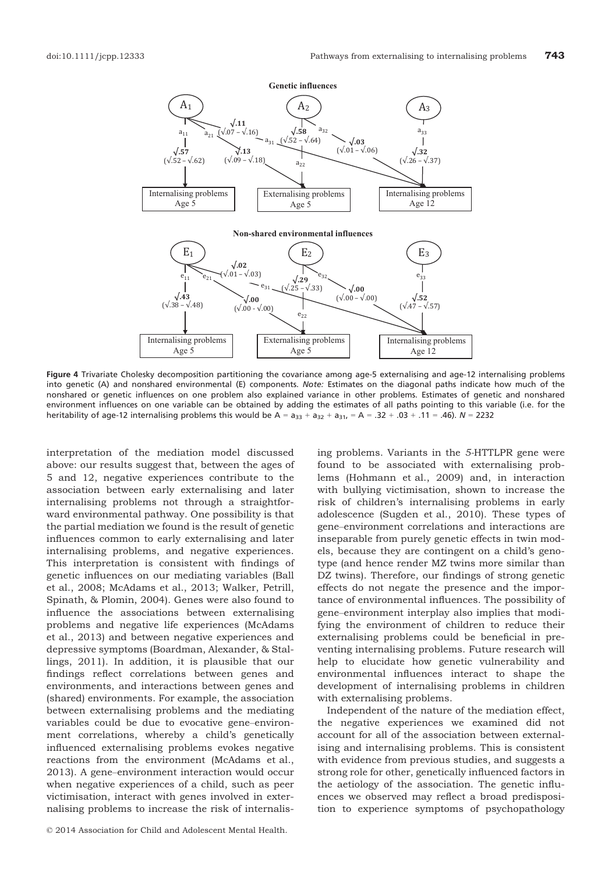

Figure 4 Trivariate Cholesky decomposition partitioning the covariance among age-5 externalising and age-12 internalising problems into genetic (A) and nonshared environmental (E) components. Note: Estimates on the diagonal paths indicate how much of the nonshared or genetic influences on one problem also explained variance in other problems. Estimates of genetic and nonshared environment influences on one variable can be obtained by adding the estimates of all paths pointing to this variable (i.e. for the heritability of age-12 internalising problems this would be  $A = a_{33} + a_{32} + a_{31} = A = .32 + .03 + .11 = .46$ .  $N = 2232$ 

interpretation of the mediation model discussed above: our results suggest that, between the ages of 5 and 12, negative experiences contribute to the association between early externalising and later internalising problems not through a straightforward environmental pathway. One possibility is that the partial mediation we found is the result of genetic influences common to early externalising and later internalising problems, and negative experiences. This interpretation is consistent with findings of genetic influences on our mediating variables (Ball et al., 2008; McAdams et al., 2013; Walker, Petrill, Spinath, & Plomin, 2004). Genes were also found to influence the associations between externalising problems and negative life experiences (McAdams et al., 2013) and between negative experiences and depressive symptoms (Boardman, Alexander, & Stallings, 2011). In addition, it is plausible that our findings reflect correlations between genes and environments, and interactions between genes and (shared) environments. For example, the association between externalising problems and the mediating variables could be due to evocative gene–environment correlations, whereby a child's genetically influenced externalising problems evokes negative reactions from the environment (McAdams et al., 2013). A gene–environment interaction would occur when negative experiences of a child, such as peer victimisation, interact with genes involved in externalising problems to increase the risk of internalising problems. Variants in the 5-HTTLPR gene were found to be associated with externalising problems (Hohmann et al., 2009) and, in interaction with bullying victimisation, shown to increase the risk of children's internalising problems in early adolescence (Sugden et al., 2010). These types of gene–environment correlations and interactions are inseparable from purely genetic effects in twin models, because they are contingent on a child's genotype (and hence render MZ twins more similar than DZ twins). Therefore, our findings of strong genetic effects do not negate the presence and the importance of environmental influences. The possibility of gene–environment interplay also implies that modifying the environment of children to reduce their externalising problems could be beneficial in preventing internalising problems. Future research will help to elucidate how genetic vulnerability and environmental influences interact to shape the development of internalising problems in children with externalising problems.

Independent of the nature of the mediation effect, the negative experiences we examined did not account for all of the association between externalising and internalising problems. This is consistent with evidence from previous studies, and suggests a strong role for other, genetically influenced factors in the aetiology of the association. The genetic influences we observed may reflect a broad predisposition to experience symptoms of psychopathology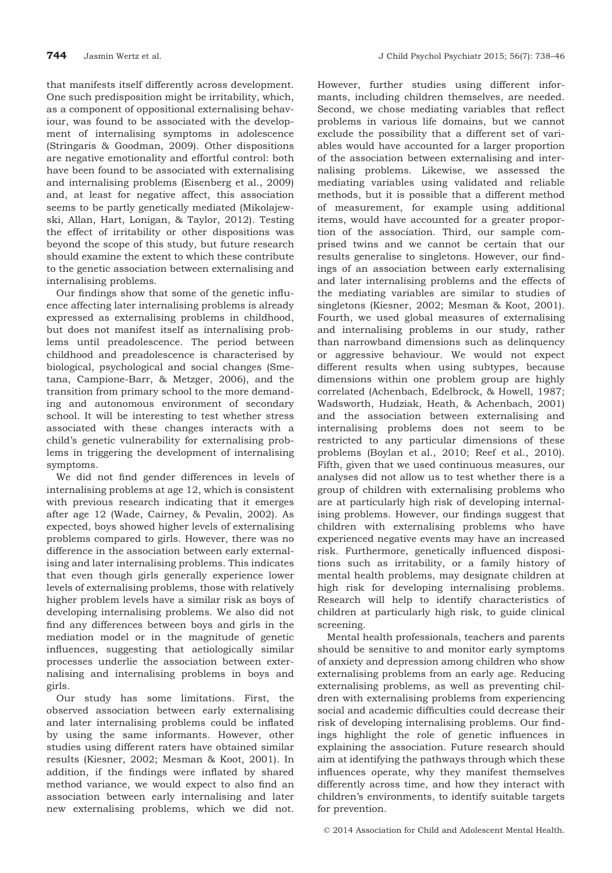that manifests itself differently across development. One such predisposition might be irritability, which, as a component of oppositional externalising behaviour, was found to be associated with the development of internalising symptoms in adolescence (Stringaris & Goodman, 2009). Other dispositions are negative emotionality and effortful control: both have been found to be associated with externalising and internalising problems (Eisenberg et al., 2009) and, at least for negative affect, this association seems to be partly genetically mediated (Mikolajewski, Allan, Hart, Lonigan, & Taylor, 2012). Testing the effect of irritability or other dispositions was beyond the scope of this study, but future research should examine the extent to which these contribute to the genetic association between externalising and internalising problems.

Our findings show that some of the genetic influence affecting later internalising problems is already expressed as externalising problems in childhood, but does not manifest itself as internalising problems until preadolescence. The period between childhood and preadolescence is characterised by biological, psychological and social changes (Smetana, Campione-Barr, & Metzger, 2006), and the transition from primary school to the more demanding and autonomous environment of secondary school. It will be interesting to test whether stress associated with these changes interacts with a child's genetic vulnerability for externalising problems in triggering the development of internalising symptoms.

We did not find gender differences in levels of internalising problems at age 12, which is consistent with previous research indicating that it emerges after age 12 (Wade, Cairney, & Pevalin, 2002). As expected, boys showed higher levels of externalising problems compared to girls. However, there was no difference in the association between early externalising and later internalising problems. This indicates that even though girls generally experience lower levels of externalising problems, those with relatively higher problem levels have a similar risk as boys of developing internalising problems. We also did not find any differences between boys and girls in the mediation model or in the magnitude of genetic influences, suggesting that aetiologically similar processes underlie the association between externalising and internalising problems in boys and girls.

Our study has some limitations. First, the observed association between early externalising and later internalising problems could be inflated by using the same informants. However, other studies using different raters have obtained similar results (Kiesner, 2002; Mesman & Koot, 2001). In addition, if the findings were inflated by shared method variance, we would expect to also find an association between early internalising and later new externalising problems, which we did not.

However, further studies using different informants, including children themselves, are needed. Second, we chose mediating variables that reflect problems in various life domains, but we cannot exclude the possibility that a different set of variables would have accounted for a larger proportion of the association between externalising and internalising problems. Likewise, we assessed the mediating variables using validated and reliable methods, but it is possible that a different method of measurement, for example using additional items, would have accounted for a greater proportion of the association. Third, our sample comprised twins and we cannot be certain that our results generalise to singletons. However, our findings of an association between early externalising and later internalising problems and the effects of the mediating variables are similar to studies of singletons (Kiesner, 2002; Mesman & Koot, 2001). Fourth, we used global measures of externalising and internalising problems in our study, rather than narrowband dimensions such as delinquency or aggressive behaviour. We would not expect different results when using subtypes, because dimensions within one problem group are highly correlated (Achenbach, Edelbrock, & Howell, 1987; Wadsworth, Hudziak, Heath, & Achenbach, 2001) and the association between externalising and internalising problems does not seem to be restricted to any particular dimensions of these problems (Boylan et al., 2010; Reef et al., 2010). Fifth, given that we used continuous measures, our analyses did not allow us to test whether there is a group of children with externalising problems who are at particularly high risk of developing internalising problems. However, our findings suggest that children with externalising problems who have experienced negative events may have an increased risk. Furthermore, genetically influenced dispositions such as irritability, or a family history of mental health problems, may designate children at high risk for developing internalising problems. Research will help to identify characteristics of children at particularly high risk, to guide clinical screening.

Mental health professionals, teachers and parents should be sensitive to and monitor early symptoms of anxiety and depression among children who show externalising problems from an early age. Reducing externalising problems, as well as preventing children with externalising problems from experiencing social and academic difficulties could decrease their risk of developing internalising problems. Our findings highlight the role of genetic influences in explaining the association. Future research should aim at identifying the pathways through which these influences operate, why they manifest themselves differently across time, and how they interact with children's environments, to identify suitable targets for prevention.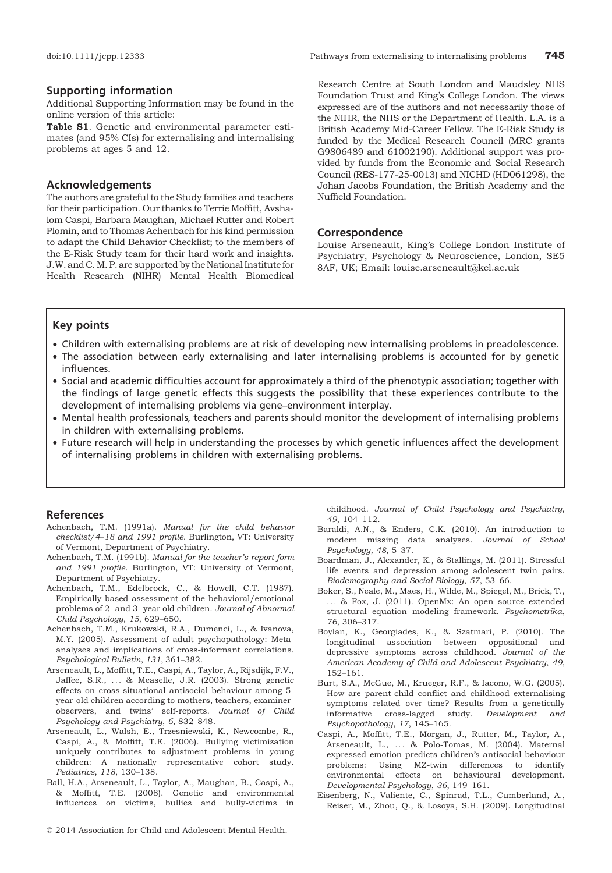#### Supporting information

Additional Supporting Information may be found in the online version of this article:

Table S1. Genetic and environmental parameter estimates (and 95% CIs) for externalising and internalising problems at ages 5 and 12.

#### Acknowledgements

The authors are grateful to the Study families and teachers for their participation. Our thanks to Terrie Moffitt, Avshalom Caspi, Barbara Maughan, Michael Rutter and Robert Plomin, and to Thomas Achenbach for his kind permission to adapt the Child Behavior Checklist; to the members of the E-Risk Study team for their hard work and insights. J.W. and C.M. P. are supported by the National Institute for Health Research (NIHR) Mental Health Biomedical Research Centre at South London and Maudsley NHS Foundation Trust and King's College London. The views expressed are of the authors and not necessarily those of the NIHR, the NHS or the Department of Health. L.A. is a British Academy Mid-Career Fellow. The E-Risk Study is funded by the Medical Research Council (MRC grants G9806489 and 61002190). Additional support was provided by funds from the Economic and Social Research Council (RES-177-25-0013) and NICHD (HD061298), the Johan Jacobs Foundation, the British Academy and the Nuffield Foundation.

#### Correspondence

Louise Arseneault, King's College London Institute of Psychiatry, Psychology & Neuroscience, London, SE5 8AF, UK; Email: louise.arseneault@kcl.ac.uk

#### Key points

- Children with externalising problems are at risk of developing new internalising problems in preadolescence.
- The association between early externalising and later internalising problems is accounted for by genetic influences.
- Social and academic difficulties account for approximately a third of the phenotypic association; together with the findings of large genetic effects this suggests the possibility that these experiences contribute to the development of internalising problems via gene–environment interplay.
- Mental health professionals, teachers and parents should monitor the development of internalising problems in children with externalising problems.
- Future research will help in understanding the processes by which genetic influences affect the development of internalising problems in children with externalising problems.

#### References

- Achenbach, T.M. (1991a). Manual for the child behavior checklist/4–18 and 1991 profile. Burlington, VT: University of Vermont, Department of Psychiatry.
- Achenbach, T.M. (1991b). Manual for the teacher's report form and 1991 profile. Burlington, VT: University of Vermont, Department of Psychiatry.
- Achenbach, T.M., Edelbrock, C., & Howell, C.T. (1987). Empirically based assessment of the behavioral/emotional problems of 2- and 3- year old children. Journal of Abnormal Child Psychology, 15, 629–650.
- Achenbach, T.M., Krukowski, R.A., Dumenci, L., & Ivanova, M.Y. (2005). Assessment of adult psychopathology: Metaanalyses and implications of cross-informant correlations. Psychological Bulletin, 131, 361–382.
- Arseneault, L., Moffitt, T.E., Caspi, A., Taylor, A., Rijsdijk, F.V., Jaffee, S.R., ... & Measelle, J.R. (2003). Strong genetic effects on cross-situational antisocial behaviour among 5 year-old children according to mothers, teachers, examinerobservers, and twins' self-reports. Journal of Child Psychology and Psychiatry, 6, 832–848.
- Arseneault, L., Walsh, E., Trzesniewski, K., Newcombe, R., Caspi, A., & Moffitt, T.E. (2006). Bullying victimization uniquely contributes to adjustment problems in young children: A nationally representative cohort study. Pediatrics, 118, 130–138.
- Ball, H.A., Arseneault, L., Taylor, A., Maughan, B., Caspi, A., & Moffitt, T.E. (2008). Genetic and environmental influences on victims, bullies and bully-victims in

childhood. Journal of Child Psychology and Psychiatry, 49, 104–112.

- Baraldi, A.N., & Enders, C.K. (2010). An introduction to modern missing data analyses. Journal of School Psychology, 48, 5–37.
- Boardman, J., Alexander, K., & Stallings, M. (2011). Stressful life events and depression among adolescent twin pairs. Biodemography and Social Biology, 57, 53–66.
- Boker, S., Neale, M., Maes, H., Wilde, M., Spiegel, M., Brick, T., ... & Fox, J. (2011). OpenMx: An open source extended structural equation modeling framework. Psychometrika, 76, 306–317.
- Boylan, K., Georgiades, K., & Szatmari, P. (2010). The longitudinal association between oppositional and depressive symptoms across childhood. Journal of the American Academy of Child and Adolescent Psychiatry, 49, 152–161.
- Burt, S.A., McGue, M., Krueger, R.F., & Iacono, W.G. (2005). How are parent-child conflict and childhood externalising symptoms related over time? Results from a genetically informative cross-lagged study. Development and Psychopathology, 17, 145–165.
- Caspi, A., Moffitt, T.E., Morgan, J., Rutter, M., Taylor, A., Arseneault, L., ... & Polo-Tomas, M. (2004). Maternal expressed emotion predicts children's antisocial behaviour problems: Using MZ-twin differences to identify environmental effects on behavioural development. Developmental Psychology, 36, 149–161.
- Eisenberg, N., Valiente, C., Spinrad, T.L., Cumberland, A., Reiser, M., Zhou, Q., & Losoya, S.H. (2009). Longitudinal